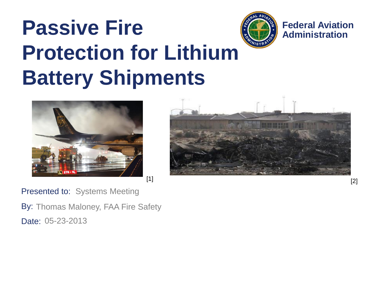







#### Presented to: Systems Meeting

By: Thomas Maloney, FAA Fire Safety Date: 05-23-2013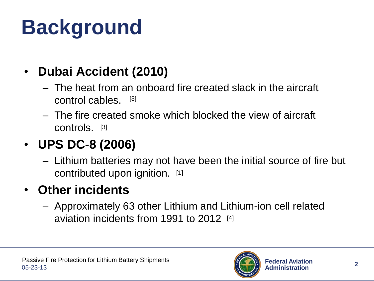# **Background**

#### • **Dubai Accident (2010)**

- The heat from an onboard fire created slack in the aircraft control cables. [3]
- The fire created smoke which blocked the view of aircraft controls. [3]

#### • **UPS DC-8 (2006)**

– Lithium batteries may not have been the initial source of fire but contributed upon ignition. [1]

#### • **Other incidents**

– Approximately 63 other Lithium and Lithium-ion cell related aviation incidents from 1991 to 2012 [4]

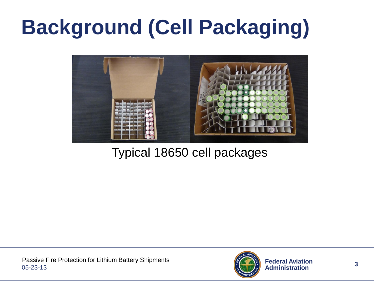# **Background (Cell Packaging)**



#### Typical 18650 cell packages

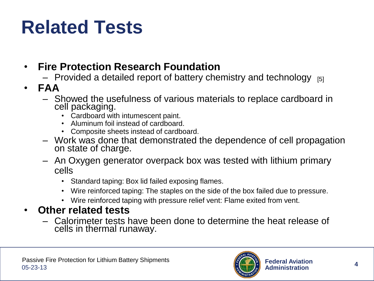#### **Related Tests**

- **Fire Protection Research Foundation**
	- $-$  Provided a detailed report of battery chemistry and technology  $_{[5]}$
- **FAA**
	- Showed the usefulness of various materials to replace cardboard in cell packaging.
		- Cardboard with intumescent paint.
		- Aluminum foil instead of cardboard.
		- Composite sheets instead of cardboard.
	- Work was done that demonstrated the dependence of cell propagation on state of charge.
	- An Oxygen generator overpack box was tested with lithium primary cells
		- Standard taping: Box lid failed exposing flames.
		- Wire reinforced taping: The staples on the side of the box failed due to pressure.
		- Wire reinforced taping with pressure relief vent: Flame exited from vent.

#### • **Other related tests**

– Calorimeter tests have been done to determine the heat release of cells in thermal runaway.

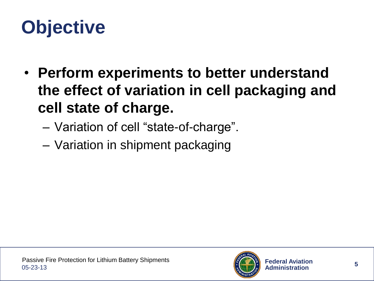#### **Objective**

- **Perform experiments to better understand the effect of variation in cell packaging and cell state of charge.**
	- Variation of cell "state-of-charge".
	- Variation in shipment packaging

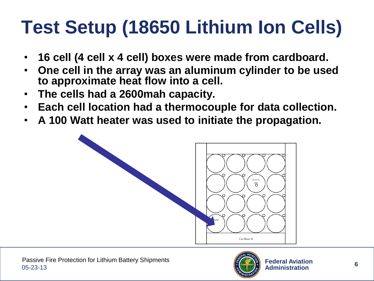### **Test Setup (18650 Lithium Ion Cells)**

- **16 cell (4 cell x 4 cell) boxes were made from cardboard.**
- **One cell in the array was an aluminum cylinder to be used to approximate heat flow into a cell.**
- **The cells had a 2600mah capacity.**
- **Each cell location had a thermocouple for data collection.**
- **A 100 Watt heater was used to initiate the propagation.**



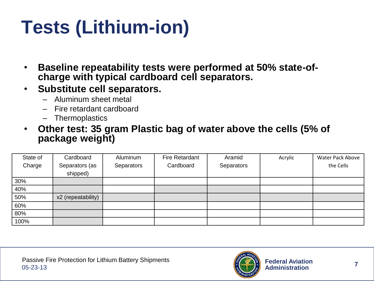### **Tests (Lithium-ion)**

- **Baseline repeatability tests were performed at 50% state-ofcharge with typical cardboard cell separators.**
- **Substitute cell separators.**
	- Aluminum sheet metal
	- Fire retardant cardboard
	- Thermoplastics
- **Other test: 35 gram Plastic bag of water above the cells (5% of package weight)**

| State of | Cardboard          | Aluminum   | <b>Fire Retardant</b> | Aramid     | Acrylic | Water Pack Above |
|----------|--------------------|------------|-----------------------|------------|---------|------------------|
| Charge   | Separators (as     | Separators | Cardboard             | Separators |         | the Cells        |
|          | shipped)           |            |                       |            |         |                  |
| 30%      |                    |            |                       |            |         |                  |
| 40%      |                    |            |                       |            |         |                  |
| 50%      | x2 (repeatability) |            |                       |            |         |                  |
| 60%      |                    |            |                       |            |         |                  |
| 80%      |                    |            |                       |            |         |                  |
| 100%     |                    |            |                       |            |         |                  |

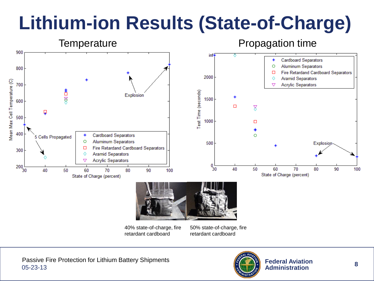#### **Lithium-ion Results (State-of-Charge)**



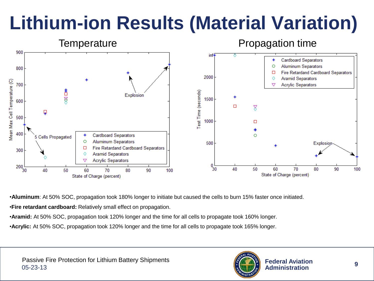#### **Lithium-ion Results (Material Variation)**



•**Aluminum**: At 50% SOC, propagation took 180% longer to initiate but caused the cells to burn 15% faster once initiated.

•**Fire retardant cardboard:** Relatively small effect on propagation.

•**Aramid:** At 50% SOC, propagation took 120% longer and the time for all cells to propagate took 160% longer.

•**Acrylic:** At 50% SOC, propagation took 120% longer and the time for all cells to propagate took 165% longer.

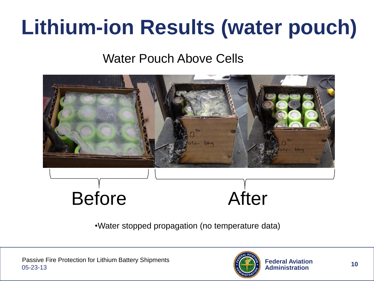### **Lithium-ion Results (water pouch)**

#### Water Pouch Above Cells



•Water stopped propagation (no temperature data)

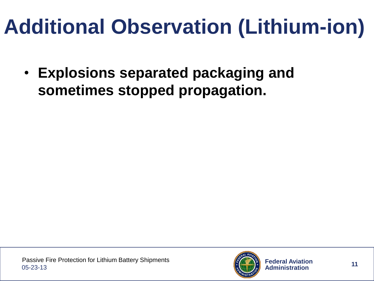### **Additional Observation (Lithium-ion)**

• **Explosions separated packaging and sometimes stopped propagation.**

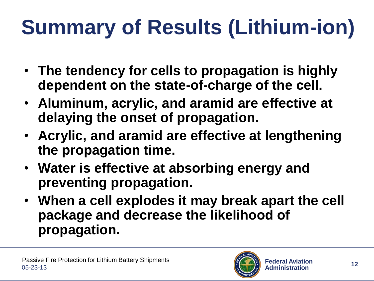# **Summary of Results (Lithium-ion)**

- **The tendency for cells to propagation is highly dependent on the state-of-charge of the cell.**
- **Aluminum, acrylic, and aramid are effective at delaying the onset of propagation.**
- **Acrylic, and aramid are effective at lengthening the propagation time.**
- **Water is effective at absorbing energy and preventing propagation.**
- **When a cell explodes it may break apart the cell package and decrease the likelihood of propagation.**

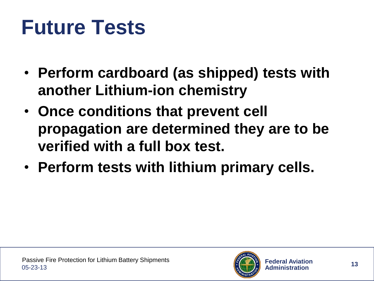### **Future Tests**

- **Perform cardboard (as shipped) tests with another Lithium-ion chemistry**
- **Once conditions that prevent cell propagation are determined they are to be verified with a full box test.**
- **Perform tests with lithium primary cells.**

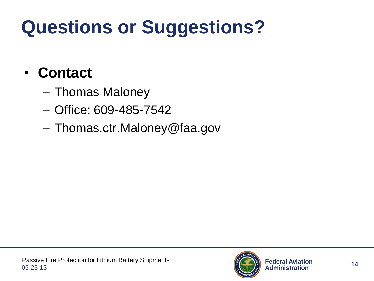### **Questions or Suggestions?**

#### • **Contact**

- Thomas Maloney
- Office: 609-485-7542
- Thomas.ctr.Maloney@faa.gov